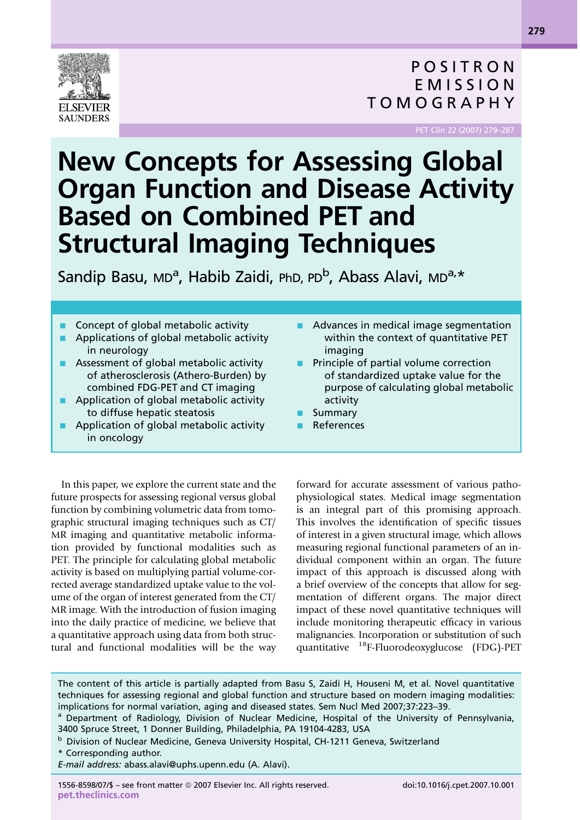

# POSITRON EMISSION TOMOGRAPHY

# New Concepts for Assessing Global Organ Function and Disease Activity Based on Combined PET and Structural Imaging Techniques

Sandip Basu, MD<sup>a</sup>, Habib Zaidi, PhD, PD<sup>b</sup>, Abass Alavi, MD<sup>a,\*</sup>

- Concept of global metabolic activity
- Applications of global metabolic activity in neurology
- Assessment of global metabolic activity of atherosclerosis (Athero-Burden) by combined FDG-PET and CT imaging
- $\blacksquare$  Application of global metabolic activity to diffuse hepatic steatosis
- Application of global metabolic activity in oncology
- In this paper, we explore the current state and the future prospects for assessing regional versus global function by combining volumetric data from tomographic structural imaging techniques such as CT/ MR imaging and quantitative metabolic information provided by functional modalities such as PET. The principle for calculating global metabolic activity is based on multiplying partial volume-corrected average standardized uptake value to the volume of the organ of interest generated from the CT/ MR image. With the introduction of fusion imaging into the daily practice of medicine, we believe that a quantitative approach using data from both structural and functional modalities will be the way
- Advances in medical image segmentation within the context of quantitative PET imaging
- **Principle of partial volume correction** of standardized uptake value for the purpose of calculating global metabolic activity
- **Summary**
- **References**

forward for accurate assessment of various pathophysiological states. Medical image segmentation is an integral part of this promising approach. This involves the identification of specific tissues of interest in a given structural image, which allows measuring regional functional parameters of an individual component within an organ. The future impact of this approach is discussed along with a brief overview of the concepts that allow for segmentation of different organs. The major direct impact of these novel quantitative techniques will include monitoring therapeutic efficacy in various malignancies. Incorporation or substitution of such quantitative 18F-Fluorodeoxyglucose (FDG)-PET

The content of this article is partially adapted from Basu S, Zaidi H, Houseni M, et al. Novel quantitative techniques for assessing regional and global function and structure based on modern imaging modalities: implications for normal variation, aging and diseased states. Sem Nucl Med 2007;37:223–39.

\* Corresponding author.

Department of Radiology, Division of Nuclear Medicine, Hospital of the University of Pennsylvania, 3400 Spruce Street, 1 Donner Building, Philadelphia, PA 19104-4283, USA

b Division of Nuclear Medicine, Geneva University Hospital, CH-1211 Geneva, Switzerland

E-mail address: abass.alavi@uphs.upenn.edu (A. Alavi).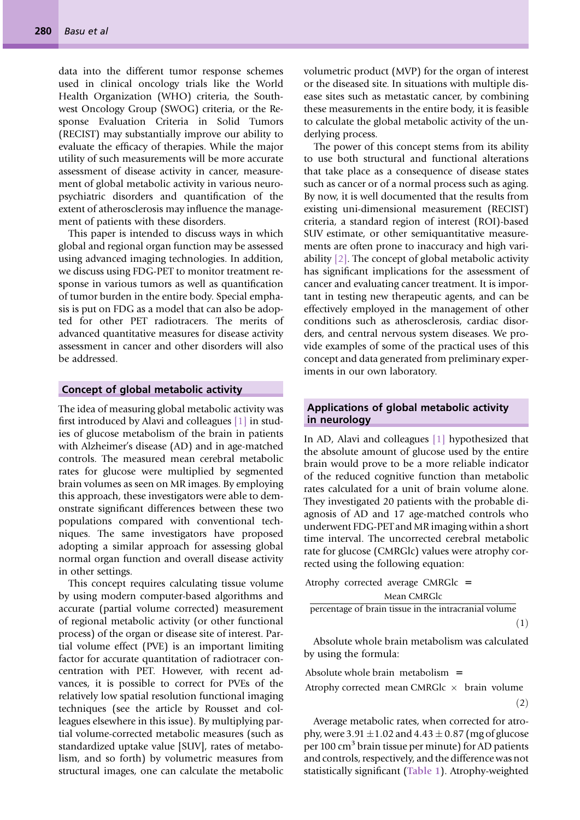data into the different tumor response schemes used in clinical oncology trials like the World Health Organization (WHO) criteria, the Southwest Oncology Group (SWOG) criteria, or the Response Evaluation Criteria in Solid Tumors (RECIST) may substantially improve our ability to evaluate the efficacy of therapies. While the major utility of such measurements will be more accurate assessment of disease activity in cancer, measurement of global metabolic activity in various neuropsychiatric disorders and quantification of the extent of atherosclerosis may influence the management of patients with these disorders.

This paper is intended to discuss ways in which global and regional organ function may be assessed using advanced imaging technologies. In addition, we discuss using FDG-PET to monitor treatment response in various tumors as well as quantification of tumor burden in the entire body. Special emphasis is put on FDG as a model that can also be adopted for other PET radiotracers. The merits of advanced quantitative measures for disease activity assessment in cancer and other disorders will also be addressed.

#### Concept of global metabolic activity

The idea of measuring global metabolic activity was first introduced by Alavi and colleagues [1] in studies of glucose metabolism of the brain in patients with Alzheimer's disease (AD) and in age-matched controls. The measured mean cerebral metabolic rates for glucose were multiplied by segmented brain volumes as seen on MR images. By employing this approach, these investigators were able to demonstrate significant differences between these two populations compared with conventional techniques. The same investigators have proposed adopting a similar approach for assessing global normal organ function and overall disease activity in other settings.

This concept requires calculating tissue volume by using modern computer-based algorithms and accurate (partial volume corrected) measurement of regional metabolic activity (or other functional process) of the organ or disease site of interest. Partial volume effect (PVE) is an important limiting factor for accurate quantitation of radiotracer concentration with PET. However, with recent advances, it is possible to correct for PVEs of the relatively low spatial resolution functional imaging techniques (see the article by Rousset and colleagues elsewhere in this issue). By multiplying partial volume-corrected metabolic measures (such as standardized uptake value [SUV], rates of metabolism, and so forth) by volumetric measures from structural images, one can calculate the metabolic

volumetric product (MVP) for the organ of interest or the diseased site. In situations with multiple disease sites such as metastatic cancer, by combining these measurements in the entire body, it is feasible to calculate the global metabolic activity of the underlying process.

The power of this concept stems from its ability to use both structural and functional alterations that take place as a consequence of disease states such as cancer or of a normal process such as aging. By now, it is well documented that the results from existing uni-dimensional measurement (RECIST) criteria, a standard region of interest (ROI)-based SUV estimate, or other semiquantitative measurements are often prone to inaccuracy and high variability [2]. The concept of global metabolic activity has significant implications for the assessment of cancer and evaluating cancer treatment. It is important in testing new therapeutic agents, and can be effectively employed in the management of other conditions such as atherosclerosis, cardiac disorders, and central nervous system diseases. We provide examples of some of the practical uses of this concept and data generated from preliminary experiments in our own laboratory.

#### Applications of global metabolic activity in neurology

In AD, Alavi and colleagues [1] hypothesized that the absolute amount of glucose used by the entire brain would prove to be a more reliable indicator of the reduced cognitive function than metabolic rates calculated for a unit of brain volume alone. They investigated 20 patients with the probable diagnosis of AD and 17 age-matched controls who underwent FDG-PET and MR imaging within a short time interval. The uncorrected cerebral metabolic rate for glucose (CMRGlc) values were atrophy corrected using the following equation:

| Atrophy corrected average $CMRGL =$                   |  |
|-------------------------------------------------------|--|
| Mean CMRGIc                                           |  |
| percentage of brain tissue in the intracranial volume |  |

 $(1)$ 

Absolute whole brain metabolism was calculated by using the formula:

Absolute whole brain metabolism  $=$ Atrophy corrected mean CMRGlc  $\times$  brain volume  $(2)$ 

Average metabolic rates, when corrected for atrophy, were  $3.91 \pm 1.02$  and  $4.43 \pm 0.87$  (mg of glucose per 100 cm3 brain tissue per minute) for AD patients and controls, respectively, and the difference was not statistically significant (Table 1). Atrophy-weighted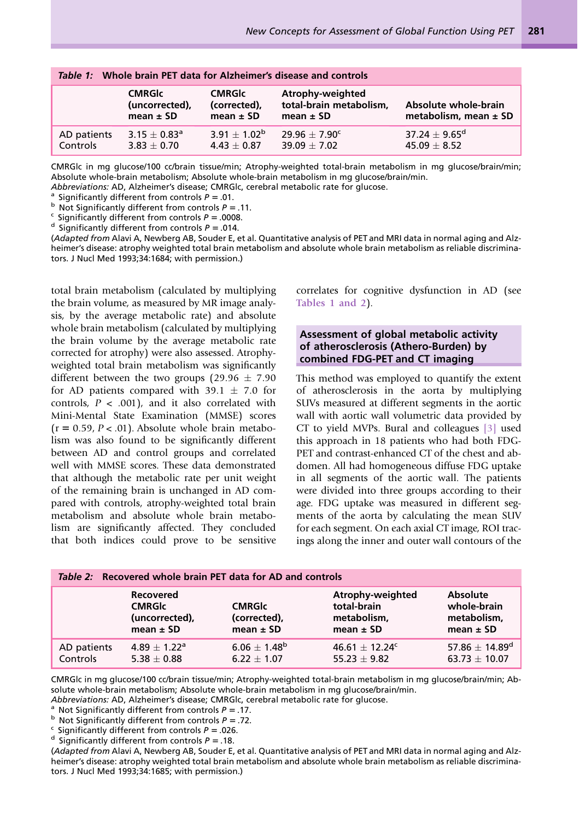|                         |                                                  |                                                | Table 1: Whole brain PET data for Alzheimer's disease and controls |                                                   |
|-------------------------|--------------------------------------------------|------------------------------------------------|--------------------------------------------------------------------|---------------------------------------------------|
|                         | <b>CMRGIC</b><br>(uncorrected),<br>mean $\pm$ SD | <b>CMRGIC</b><br>(corrected),<br>mean $\pm$ SD | Atrophy-weighted<br>total-brain metabolism,<br>mean $\pm$ SD       | Absolute whole-brain<br>metabolism, mean $\pm$ SD |
| AD patients<br>Controls | $3.15 \pm 0.83^a$<br>$3.83 \pm 0.70$             | $3.91 \pm 1.02^b$<br>$4.43 \pm 0.87$           | $29.96 \pm 7.90^{\circ}$<br>$39.09 \pm 7.02$                       | 37.24 $\pm$ 9.65 <sup>d</sup><br>$45.09 \pm 8.52$ |

CMRGlc in mg glucose/100 cc/brain tissue/min; Atrophy-weighted total-brain metabolism in mg glucose/brain/min; Absolute whole-brain metabolism; Absolute whole-brain metabolism in mg glucose/brain/min. Abbreviations: AD, Alzheimer's disease; CMRGIc, cerebral metabolic rate for glucose.<br>
a Significantly different from controls  $P = .01$ .<br>
b Not Significantly different from controls  $P = .11$ .<br>
c Significantly different from

(Adapted from Alavi A, Newberg AB, Souder E, et al. Quantitative analysis of PET and MRI data in normal aging and Alzheimer's disease: atrophy weighted total brain metabolism and absolute whole brain metabolism as reliable discriminators. J Nucl Med 1993;34:1684; with permission.)

total brain metabolism (calculated by multiplying the brain volume, as measured by MR image analysis, by the average metabolic rate) and absolute whole brain metabolism (calculated by multiplying the brain volume by the average metabolic rate corrected for atrophy) were also assessed. Atrophyweighted total brain metabolism was significantly different between the two groups (29.96  $\pm$  7.90 for AD patients compared with 39.1  $\pm$  7.0 for controls,  $P < .001$ ), and it also correlated with Mini-Mental State Examination (MMSE) scores  $(r = 0.59, P < .01)$ . Absolute whole brain metabolism was also found to be significantly different between AD and control groups and correlated well with MMSE scores. These data demonstrated that although the metabolic rate per unit weight of the remaining brain is unchanged in AD compared with controls, atrophy-weighted total brain metabolism and absolute whole brain metabolism are significantly affected. They concluded that both indices could prove to be sensitive

correlates for cognitive dysfunction in AD (see Tables 1 and 2).

### Assessment of global metabolic activity of atherosclerosis (Athero-Burden) by combined FDG-PET and CT imaging

This method was employed to quantify the extent of atherosclerosis in the aorta by multiplying SUVs measured at different segments in the aortic wall with aortic wall volumetric data provided by CT to yield MVPs. Bural and colleagues [3] used this approach in 18 patients who had both FDG-PET and contrast-enhanced CT of the chest and abdomen. All had homogeneous diffuse FDG uptake in all segments of the aortic wall. The patients were divided into three groups according to their age. FDG uptake was measured in different segments of the aorta by calculating the mean SUV for each segment. On each axial CT image, ROI tracings along the inner and outer wall contours of the

|                         |                                                               | Table 2: Recovered whole brain PET data for AD and controls |                                                                 |                                                                |
|-------------------------|---------------------------------------------------------------|-------------------------------------------------------------|-----------------------------------------------------------------|----------------------------------------------------------------|
|                         | Recovered<br><b>CMRGIC</b><br>(uncorrected),<br>mean $\pm$ SD | <b>CMRGIC</b><br>(corrected),<br>mean $\pm$ SD              | Atrophy-weighted<br>total-brain<br>metabolism,<br>mean $\pm$ SD | <b>Absolute</b><br>whole-brain<br>metabolism,<br>mean $\pm$ SD |
| AD patients<br>Controls | $4.89 \pm 1.22^{\circ}$<br>$5.38 \pm 0.88$                    | $6.06 \pm 1.48^{\rm b}$<br>$6.22 + 1.07$                    | 46.61 $\pm$ 12.24 $^{\circ}$<br>55.23 $\pm$ 9.82                | $57.86 \pm 14.89^{\rm d}$<br>63.73 $\pm$ 10.07                 |

CMRGlc in mg glucose/100 cc/brain tissue/min; Atrophy-weighted total-brain metabolism in mg glucose/brain/min; Absolute whole-brain metabolism; Absolute whole-brain metabolism in mg glucose/brain/min.

Abbreviations: AD, Alzheimer's disease; CMRGIc, cerebral metabolic rate for glucose.<br>
<sup>a</sup> Not Significantly different from controls  $P = .17$ .<br>
<sup>b</sup> Not Significantly different from controls  $P = .72$ .<br>
<sup>c</sup> Significantly diffe

(Adapted from Alavi A, Newberg AB, Souder E, et al. Quantitative analysis of PET and MRI data in normal aging and Alzheimer's disease: atrophy weighted total brain metabolism and absolute whole brain metabolism as reliable discriminators. J Nucl Med 1993;34:1685; with permission.)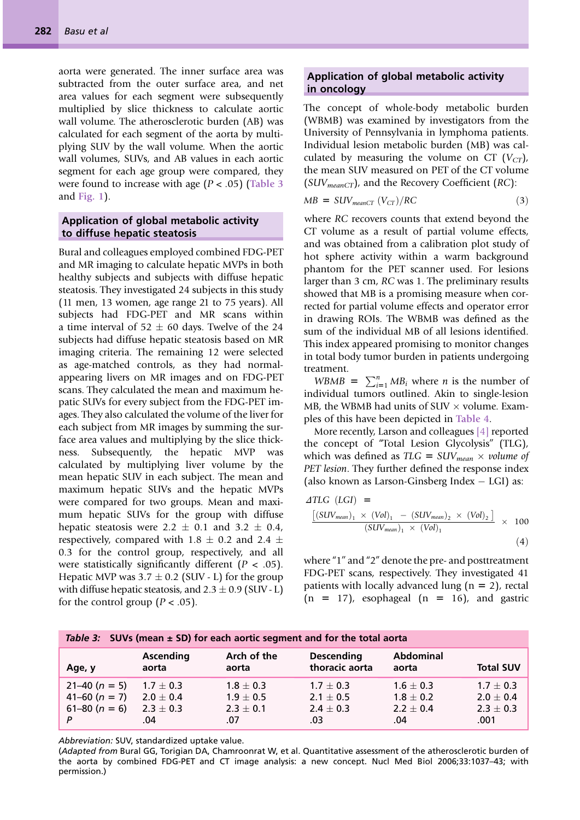aorta were generated. The inner surface area was subtracted from the outer surface area, and net area values for each segment were subsequently multiplied by slice thickness to calculate aortic wall volume. The atherosclerotic burden (AB) was calculated for each segment of the aorta by multiplying SUV by the wall volume. When the aortic wall volumes, SUVs, and AB values in each aortic segment for each age group were compared, they were found to increase with age  $(P < .05)$  (Table 3) and Fig. 1).

#### Application of global metabolic activity to diffuse hepatic steatosis

Bural and colleagues employed combined FDG-PET and MR imaging to calculate hepatic MVPs in both healthy subjects and subjects with diffuse hepatic steatosis. They investigated 24 subjects in this study (11 men, 13 women, age range 21 to 75 years). All subjects had FDG-PET and MR scans within a time interval of  $52 \pm 60$  days. Twelve of the 24 subjects had diffuse hepatic steatosis based on MR imaging criteria. The remaining 12 were selected as age-matched controls, as they had normalappearing livers on MR images and on FDG-PET scans. They calculated the mean and maximum hepatic SUVs for every subject from the FDG-PET images. They also calculated the volume of the liver for each subject from MR images by summing the surface area values and multiplying by the slice thickness. Subsequently, the hepatic MVP was calculated by multiplying liver volume by the mean hepatic SUV in each subject. The mean and maximum hepatic SUVs and the hepatic MVPs were compared for two groups. Mean and maximum hepatic SUVs for the group with diffuse hepatic steatosis were  $2.2 \pm 0.1$  and  $3.2 \pm 0.4$ , respectively, compared with 1.8  $\pm$  0.2 and 2.4  $\pm$ 0.3 for the control group, respectively, and all were statistically significantly different ( $P < .05$ ). Hepatic MVP was  $3.7 \pm 0.2$  (SUV - L) for the group with diffuse hepatic steatosis, and  $2.3 \pm 0.9$  (SUV - L) for the control group ( $P < .05$ ).

# Application of global metabolic activity in oncology

The concept of whole-body metabolic burden (WBMB) was examined by investigators from the University of Pennsylvania in lymphoma patients. Individual lesion metabolic burden (MB) was calculated by measuring the volume on CT  $(V_{CT})$ , the mean SUV measured on PET of the CT volume (SUV<sub>meanCT</sub>), and the Recovery Coefficient (RC):

$$
MB = SUV_{meanCT} (V_{CT})/RC
$$
 (3)

where RC recovers counts that extend beyond the CT volume as a result of partial volume effects, and was obtained from a calibration plot study of hot sphere activity within a warm background phantom for the PET scanner used. For lesions larger than 3 cm, RC was 1. The preliminary results showed that MB is a promising measure when corrected for partial volume effects and operator error in drawing ROIs. The WBMB was defined as the sum of the individual MB of all lesions identified. This index appeared promising to monitor changes in total body tumor burden in patients undergoing treatment.

WBMB =  $\sum_{i=1}^{n} MB_i$  where *n* is the number of individual tumors outlined. Akin to single-lesion MB, the WBMB had units of SUV  $\times$  volume. Examples of this have been depicted in Table 4.

More recently, Larson and colleagues [4] reported the concept of ''Total Lesion Glycolysis'' (TLG), which was defined as  $T L G = SUV_{mean} \times volume$  of PET lesion. They further defined the response index (also known as Larson-Ginsberg Index  $-$  LGI) as:

$$
\Delta TLG \ (LGI) = \frac{\left[ (SUV_{mean})_1 \times (Vol)_1 - (SUV_{mean})_2 \times (Vol)_2 \right]}{(SUV_{mean})_1 \times (Vol)_1} \times 100
$$
\n
$$
(4)
$$

where "1" and "2" denote the pre- and posttreatment FDG-PET scans, respectively. They investigated 41 patients with locally advanced lung  $(n = 2)$ , rectal  $(n = 17)$ , esophageal  $(n = 16)$ , and gastric

|                                                            |                                                        |                                                        | Table 3: SUVs (mean $\pm$ SD) for each aortic segment and for the total aorta |                                                        |                                                         |
|------------------------------------------------------------|--------------------------------------------------------|--------------------------------------------------------|-------------------------------------------------------------------------------|--------------------------------------------------------|---------------------------------------------------------|
| Age, y                                                     | <b>Ascending</b><br>aorta                              | Arch of the<br>aorta                                   | <b>Descending</b><br>thoracic aorta                                           | Abdominal<br>aorta                                     | <b>Total SUV</b>                                        |
| $21-40 (n = 5)$<br>$41-60 (n = 7)$<br>$61-80 (n = 6)$<br>P | $1.7 \pm 0.3$<br>$2.0 \pm 0.4$<br>$2.3 \pm 0.3$<br>.04 | $1.8 \pm 0.3$<br>$1.9 \pm 0.5$<br>$2.3 \pm 0.1$<br>.07 | $1.7 \pm 0.3$<br>$2.1 \pm 0.5$<br>$2.4 \pm 0.3$<br>.03                        | $1.6 \pm 0.3$<br>$1.8 \pm 0.2$<br>$2.2 \pm 0.4$<br>.04 | $1.7 \pm 0.3$<br>$2.0 \pm 0.4$<br>$2.3 \pm 0.3$<br>.001 |

Abbreviation: SUV, standardized uptake value.

(Adapted from Bural GG, Torigian DA, Chamroonrat W, et al. Quantitative assessment of the atherosclerotic burden of the aorta by combined FDG-PET and CT image analysis: a new concept. Nucl Med Biol 2006;33:1037–43; with permission.)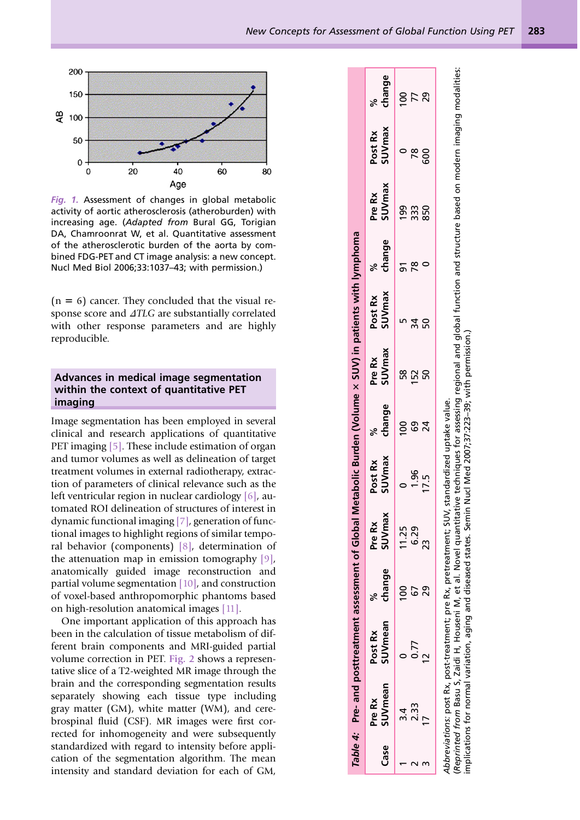

Fig. 1. Assessment of changes in global metabolic activity of aortic atherosclerosis (atheroburden) with increasing age. (Adapted from Bural GG, Torigian DA, Chamroonrat W, et al. Quantitative assessment of the atherosclerotic burden of the aorta by combined FDG-PET and CT image analysis: a new concept. Nucl Med Biol 2006;33:1037–43; with permission.)

 $(n = 6)$  cancer. They concluded that the visual response score and  $\triangle TLG$  are substantially correlated with other response parameters and are highly reproducible.

### Advances in medical image segmentation within the context of quantitative PET imaging

Image segmentation has been employed in several clinical and research applications of quantitative PET imaging [5]. These include estimation of organ and tumor volumes as well as delineation of target treatment volumes in external radiotherapy, extraction of parameters of clinical relevance such as the left ventricular region in nuclear cardiology [6], automated ROI delineation of structures of interest in dynamic functional imaging [7], generation of functional images to highlight regions of similar temporal behavior (components) [8], determination of the attenuation map in emission tomography [9], anatomically guided image reconstruction and partial volume segmentation [10], and construction of voxel-based anthropomorphic phantoms based on high-resolution anatomical images [11].

One important application of this approach has been in the calculation of tissue metabolism of different brain components and MRI-guided partial volume correction in PET. Fig. 2 shows a representative slice of a T2-weighted MR image through the brain and the corresponding segmentation results separately showing each tissue type including gray matter (GM), white matter (WM), and cerebrospinal fluid (CSF). MR images were first corrected for inhomogeneity and were subsequently standardized with regard to intensity before application of the segmentation algorithm. The mean intensity and standard deviation for each of GM,

|      |                          | Table 4: Pre- and posttreatment assessment of Global Metabolic Burden (Volume × SUV) in patients with lymphoma                                                                                                                                                                |               |                         |                          |                |                  |                   |               |                         |                          |                 |
|------|--------------------------|-------------------------------------------------------------------------------------------------------------------------------------------------------------------------------------------------------------------------------------------------------------------------------|---------------|-------------------------|--------------------------|----------------|------------------|-------------------|---------------|-------------------------|--------------------------|-----------------|
| Case | <b>SUVmean</b><br>Pre Rx | suvmean<br>Post Rx                                                                                                                                                                                                                                                            | change        | <b>SUVmax</b><br>Pre Rx | <b>SUVmax</b><br>Post Rx | change<br>್    | Pre Rx<br>SUVmax | Post Rx<br>SUVmax | change<br>ಸಿ  | <b>SUVmax</b><br>Pre Rx | <b>SUVmax</b><br>Post Rx | change          |
|      | 3.4                      |                                                                                                                                                                                                                                                                               | $\frac{0}{0}$ | 11.25                   |                          |                |                  |                   | 51            | <b>199</b>              |                          |                 |
|      | 2.33                     | 0.77                                                                                                                                                                                                                                                                          |               | 6.29                    | 1.96                     | $\frac{69}{6}$ | 58<br>I 52       | $\overline{3}$    | $\frac{8}{2}$ | 333<br>850              | 78                       | $\frac{20}{77}$ |
|      |                          | $\overline{C}$                                                                                                                                                                                                                                                                | 29            | 23                      | 17.5                     | 24             | 50               | 50                |               |                         | 600                      | 29              |
|      |                          | Reprinted from Basu S, Zaidi H, Houseni M, et al. Novel quantitative techniques for assessing regional and global function and structure based on modern imaging modalities:<br>Abbreviations: post Rx, post-treatment; pre Rx, pretreatment; SUV, standardized uptake value. |               |                         |                          |                |                  |                   |               |                         |                          |                 |

(Reprinted from Basu S, Zaidi H, Houseni M, et al. Novel quantitative techniques for assessing regional and global function and structure based on modern imaging modalities: Novel quantitative techniques for assessing regional and global function and structure based mplications for normal variation, aging and diseased states. Semin Nucl Med 2007;37:223-39; with permission.) implications for normal variation, aging and diseased states. Semin Nucl Med 2007;37:223–39; with permission.) et al. Σ Houseni Zaidi H. (Reprinted from Basu S,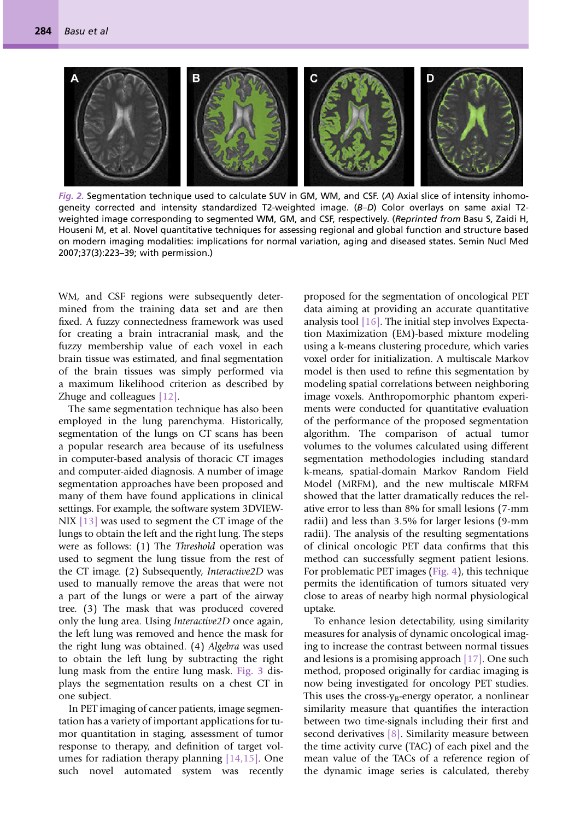

Fig. 2. Segmentation technique used to calculate SUV in GM, WM, and CSF. (A) Axial slice of intensity inhomogeneity corrected and intensity standardized T2-weighted image. (B-D) Color overlays on same axial T2weighted image corresponding to segmented WM, GM, and CSF, respectively. (Reprinted from Basu S, Zaidi H, Houseni M, et al. Novel quantitative techniques for assessing regional and global function and structure based on modern imaging modalities: implications for normal variation, aging and diseased states. Semin Nucl Med 2007;37(3):223–39; with permission.)

WM, and CSF regions were subsequently determined from the training data set and are then fixed. A fuzzy connectedness framework was used for creating a brain intracranial mask, and the fuzzy membership value of each voxel in each brain tissue was estimated, and final segmentation of the brain tissues was simply performed via a maximum likelihood criterion as described by Zhuge and colleagues [12].

The same segmentation technique has also been employed in the lung parenchyma. Historically, segmentation of the lungs on CT scans has been a popular research area because of its usefulness in computer-based analysis of thoracic CT images and computer-aided diagnosis. A number of image segmentation approaches have been proposed and many of them have found applications in clinical settings. For example, the software system 3DVIEW-NIX [13] was used to segment the CT image of the lungs to obtain the left and the right lung. The steps were as follows: (1) The Threshold operation was used to segment the lung tissue from the rest of the CT image. (2) Subsequently, Interactive2D was used to manually remove the areas that were not a part of the lungs or were a part of the airway tree. (3) The mask that was produced covered only the lung area. Using Interactive2D once again, the left lung was removed and hence the mask for the right lung was obtained. (4) Algebra was used to obtain the left lung by subtracting the right lung mask from the entire lung mask. Fig. 3 displays the segmentation results on a chest CT in one subject.

In PET imaging of cancer patients, image segmentation has a variety of important applications for tumor quantitation in staging, assessment of tumor response to therapy, and definition of target volumes for radiation therapy planning [14,15]. One such novel automated system was recently proposed for the segmentation of oncological PET data aiming at providing an accurate quantitative analysis tool [16]. The initial step involves Expectation Maximization (EM)-based mixture modeling using a k-means clustering procedure, which varies voxel order for initialization. A multiscale Markov model is then used to refine this segmentation by modeling spatial correlations between neighboring image voxels. Anthropomorphic phantom experiments were conducted for quantitative evaluation of the performance of the proposed segmentation algorithm. The comparison of actual tumor volumes to the volumes calculated using different segmentation methodologies including standard k-means, spatial-domain Markov Random Field Model (MRFM), and the new multiscale MRFM showed that the latter dramatically reduces the relative error to less than 8% for small lesions (7-mm radii) and less than 3.5% for larger lesions (9-mm radii). The analysis of the resulting segmentations of clinical oncologic PET data confirms that this method can successfully segment patient lesions. For problematic PET images (Fig. 4), this technique permits the identification of tumors situated very close to areas of nearby high normal physiological uptake.

To enhance lesion detectability, using similarity measures for analysis of dynamic oncological imaging to increase the contrast between normal tissues and lesions is a promising approach [17]. One such method, proposed originally for cardiac imaging is now being investigated for oncology PET studies. This uses the cross- $y_B$ -energy operator, a nonlinear similarity measure that quantifies the interaction between two time-signals including their first and second derivatives [8]. Similarity measure between the time activity curve (TAC) of each pixel and the mean value of the TACs of a reference region of the dynamic image series is calculated, thereby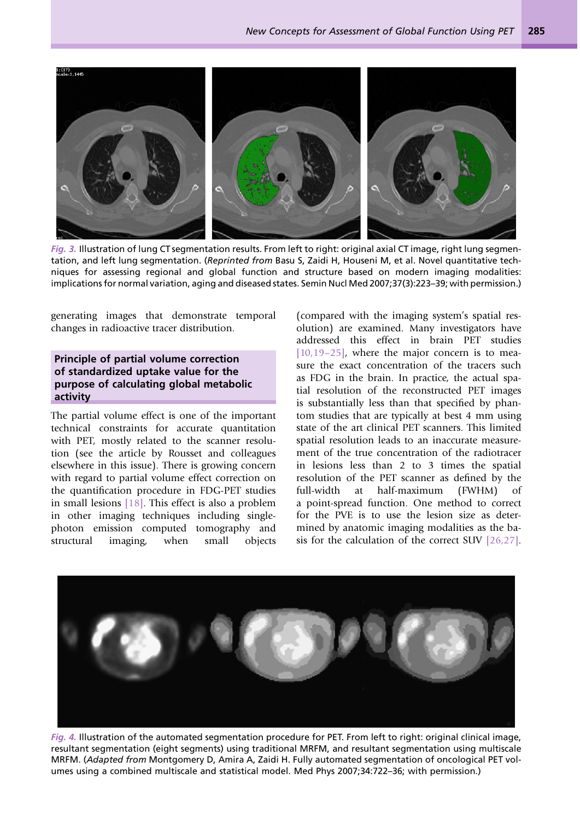

Fig. 3. Illustration of lung CT segmentation results. From left to right: original axial CT image, right lung segmentation, and left lung segmentation. (Reprinted from Basu S, Zaidi H, Houseni M, et al. Novel quantitative techniques for assessing regional and global function and structure based on modern imaging modalities: implications for normal variation, aging and diseased states. Semin Nucl Med 2007;37(3):223–39; with permission.)

generating images that demonstrate temporal changes in radioactive tracer distribution.

# Principle of partial volume correction of standardized uptake value for the purpose of calculating global metabolic activity

The partial volume effect is one of the important technical constraints for accurate quantitation with PET, mostly related to the scanner resolution (see the article by Rousset and colleagues elsewhere in this issue). There is growing concern with regard to partial volume effect correction on the quantification procedure in FDG-PET studies in small lesions [18]. This effect is also a problem in other imaging techniques including singlephoton emission computed tomography and structural imaging, when small objects (compared with the imaging system's spatial resolution) are examined. Many investigators have addressed this effect in brain PET studies  $[10,19-25]$ , where the major concern is to measure the exact concentration of the tracers such as FDG in the brain. In practice, the actual spatial resolution of the reconstructed PET images is substantially less than that specified by phantom studies that are typically at best 4 mm using state of the art clinical PET scanners. This limited spatial resolution leads to an inaccurate measurement of the true concentration of the radiotracer in lesions less than 2 to 3 times the spatial resolution of the PET scanner as defined by the full-width at half-maximum (FWHM) of a point-spread function. One method to correct for the PVE is to use the lesion size as determined by anatomic imaging modalities as the basis for the calculation of the correct SUV [26,27].



Fig. 4. Illustration of the automated segmentation procedure for PET. From left to right: original clinical image, resultant segmentation (eight segments) using traditional MRFM, and resultant segmentation using multiscale MRFM. (Adapted from Montgomery D, Amira A, Zaidi H. Fully automated segmentation of oncological PET volumes using a combined multiscale and statistical model. Med Phys 2007;34:722–36; with permission.)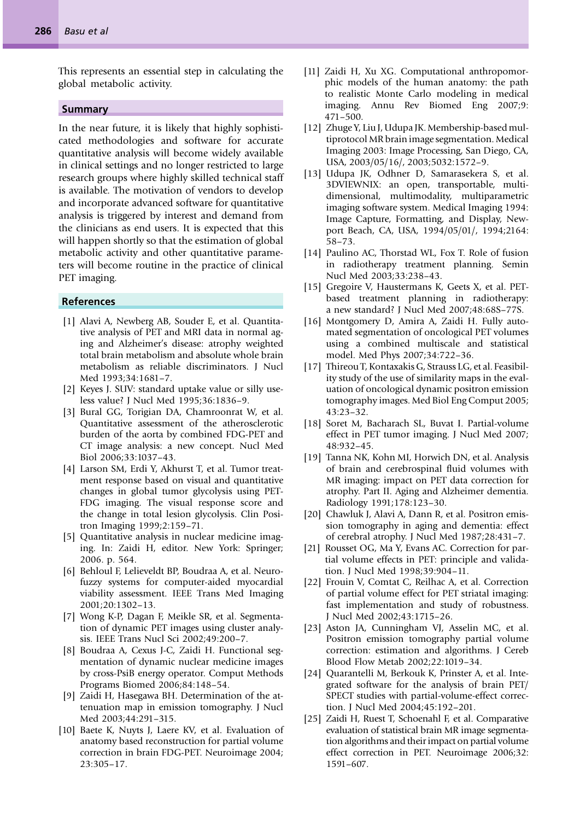This represents an essential step in calculating the global metabolic activity.

#### Summary

In the near future, it is likely that highly sophisticated methodologies and software for accurate quantitative analysis will become widely available in clinical settings and no longer restricted to large research groups where highly skilled technical staff is available. The motivation of vendors to develop and incorporate advanced software for quantitative analysis is triggered by interest and demand from the clinicians as end users. It is expected that this will happen shortly so that the estimation of global metabolic activity and other quantitative parameters will become routine in the practice of clinical PET imaging.

#### **References**

- [1] Alavi A, Newberg AB, Souder E, et al. Quantitative analysis of PET and MRI data in normal aging and Alzheimer's disease: atrophy weighted total brain metabolism and absolute whole brain metabolism as reliable discriminators. J Nucl Med 1993;34:1681–7.
- [2] Keyes J. SUV: standard uptake value or silly useless value? J Nucl Med 1995;36:1836–9.
- [3] Bural GG, Torigian DA, Chamroonrat W, et al. Quantitative assessment of the atherosclerotic burden of the aorta by combined FDG-PET and CT image analysis: a new concept. Nucl Med Biol 2006;33:1037–43.
- [4] Larson SM, Erdi Y, Akhurst T, et al. Tumor treatment response based on visual and quantitative changes in global tumor glycolysis using PET-FDG imaging. The visual response score and the change in total lesion glycolysis. Clin Positron Imaging 1999;2:159–71.
- [5] Quantitative analysis in nuclear medicine imaging. In: Zaidi H, editor. New York: Springer; 2006. p. 564.
- [6] Behloul F, Lelieveldt BP, Boudraa A, et al. Neurofuzzy systems for computer-aided myocardial viability assessment. IEEE Trans Med Imaging 2001;20:1302–13.
- [7] Wong K-P, Dagan F, Meikle SR, et al. Segmentation of dynamic PET images using cluster analysis. IEEE Trans Nucl Sci 2002;49:200–7.
- [8] Boudraa A, Cexus J-C, Zaidi H. Functional segmentation of dynamic nuclear medicine images by cross-PsiB energy operator. Comput Methods Programs Biomed 2006;84:148–54.
- [9] Zaidi H, Hasegawa BH. Determination of the attenuation map in emission tomography. J Nucl Med 2003;44:291–315.
- [10] Baete K, Nuyts J, Laere KV, et al. Evaluation of anatomy based reconstruction for partial volume correction in brain FDG-PET. Neuroimage 2004; 23:305–17.
- [11] Zaidi H, Xu XG. Computational anthropomorphic models of the human anatomy: the path to realistic Monte Carlo modeling in medical imaging. Annu Rev Biomed Eng 2007;9: 471–500.
- [12] Zhuge Y, Liu J, Udupa JK. Membership-based multiprotocol MR brain image segmentation. Medical Imaging 2003: Image Processing, San Diego, CA, USA, 2003/05/16/, 2003;5032:1572–9.
- [13] Udupa JK, Odhner D, Samarasekera S, et al. 3DVIEWNIX: an open, transportable, multidimensional, multimodality, multiparametric imaging software system. Medical Imaging 1994: Image Capture, Formatting, and Display, Newport Beach, CA, USA, 1994/05/01/, 1994;2164: 58–73.
- [14] Paulino AC, Thorstad WL, Fox T. Role of fusion in radiotherapy treatment planning. Semin Nucl Med 2003;33:238–43.
- [15] Gregoire V, Haustermans K, Geets X, et al. PETbased treatment planning in radiotherapy: a new standard? J Nucl Med 2007;48:68S–77S.
- [16] Montgomery D, Amira A, Zaidi H. Fully automated segmentation of oncological PET volumes using a combined multiscale and statistical model. Med Phys 2007;34:722–36.
- [17] Thireou T, Kontaxakis G, Strauss LG, et al. Feasibility study of the use of similarity maps in the evaluation of oncological dynamic positron emission tomography images. Med Biol Eng Comput 2005; 43:23–32.
- [18] Soret M, Bacharach SL, Buvat I. Partial-volume effect in PET tumor imaging. J Nucl Med 2007; 48:932–45.
- [19] Tanna NK, Kohn MI, Horwich DN, et al. Analysis of brain and cerebrospinal fluid volumes with MR imaging: impact on PET data correction for atrophy. Part II. Aging and Alzheimer dementia. Radiology 1991;178:123–30.
- [20] Chawluk J, Alavi A, Dann R, et al. Positron emission tomography in aging and dementia: effect of cerebral atrophy. J Nucl Med 1987;28:431–7.
- [21] Rousset OG, Ma Y, Evans AC. Correction for partial volume effects in PET: principle and validation. J Nucl Med 1998;39:904–11.
- [22] Frouin V, Comtat C, Reilhac A, et al. Correction of partial volume effect for PET striatal imaging: fast implementation and study of robustness. J Nucl Med 2002;43:1715–26.
- [23] Aston JA, Cunningham VJ, Asselin MC, et al. Positron emission tomography partial volume correction: estimation and algorithms. J Cereb Blood Flow Metab 2002;22:1019–34.
- [24] Quarantelli M, Berkouk K, Prinster A, et al. Integrated software for the analysis of brain PET/ SPECT studies with partial-volume-effect correction. J Nucl Med 2004;45:192–201.
- [25] Zaidi H, Ruest T, Schoenahl F, et al. Comparative evaluation of statistical brain MR image segmentation algorithms and their impact on partial volume effect correction in PET. Neuroimage 2006;32: 1591–607.